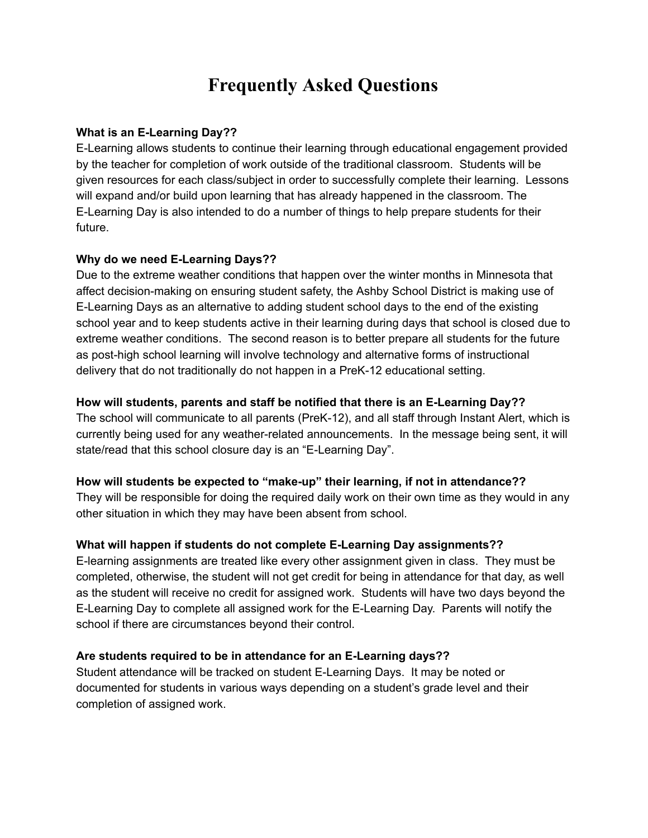# **Frequently Asked Questions**

### **What is an E-Learning Day??**

E-Learning allows students to continue their learning through educational engagement provided by the teacher for completion of work outside of the traditional classroom. Students will be given resources for each class/subject in order to successfully complete their learning. Lessons will expand and/or build upon learning that has already happened in the classroom. The E-Learning Day is also intended to do a number of things to help prepare students for their future.

## **Why do we need E-Learning Days??**

Due to the extreme weather conditions that happen over the winter months in Minnesota that affect decision-making on ensuring student safety, the Ashby School District is making use of E-Learning Days as an alternative to adding student school days to the end of the existing school year and to keep students active in their learning during days that school is closed due to extreme weather conditions. The second reason is to better prepare all students for the future as post-high school learning will involve technology and alternative forms of instructional delivery that do not traditionally do not happen in a PreK-12 educational setting.

### **How will students, parents and staff be notified that there is an E-Learning Day??**

The school will communicate to all parents (PreK-12), and all staff through Instant Alert, which is currently being used for any weather-related announcements. In the message being sent, it will state/read that this school closure day is an "E-Learning Day".

#### **How will students be expected to "make-up" their learning, if not in attendance??**

They will be responsible for doing the required daily work on their own time as they would in any other situation in which they may have been absent from school.

## **What will happen if students do not complete E-Learning Day assignments??**

E-learning assignments are treated like every other assignment given in class. They must be completed, otherwise, the student will not get credit for being in attendance for that day, as well as the student will receive no credit for assigned work. Students will have two days beyond the E-Learning Day to complete all assigned work for the E-Learning Day. Parents will notify the school if there are circumstances beyond their control.

#### **Are students required to be in attendance for an E-Learning days??**

Student attendance will be tracked on student E-Learning Days. It may be noted or documented for students in various ways depending on a student's grade level and their completion of assigned work.